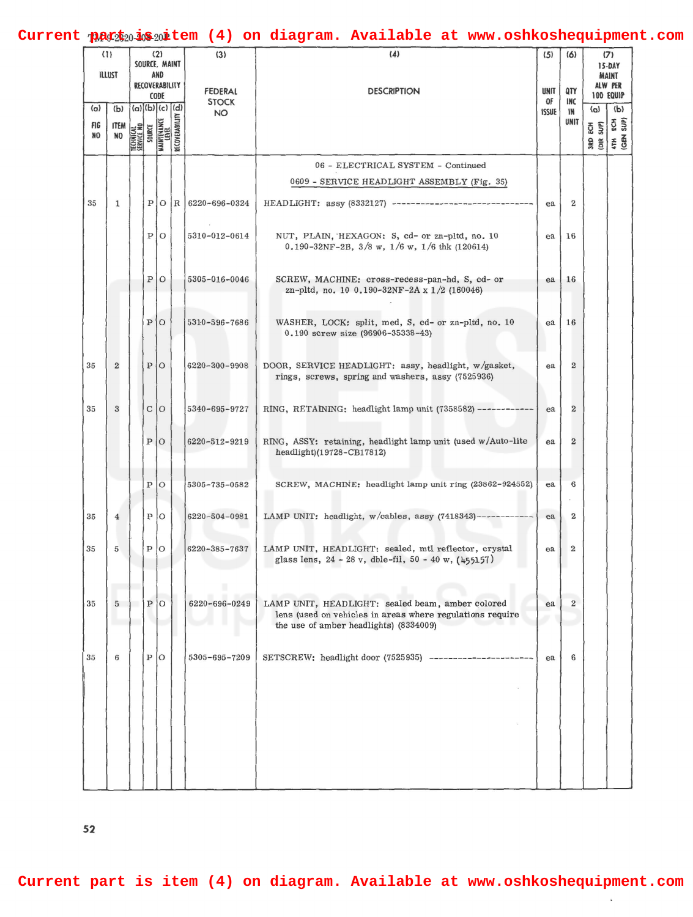## Current part is nitem (4) on diagram. Available at www.oshkoshequipment.com

| (1)<br><b>ILLUST</b> | (2)<br>SOURCE, MAINT<br>AND<br>RECOVERABILITY |                         |              |                                               | (3)            | (4)                                         | (5)                                                                                                                                                                     | (6)                               | (7)<br>15-DAY<br>MAINT<br>ALW PER |                         |                                                        |
|----------------------|-----------------------------------------------|-------------------------|--------------|-----------------------------------------------|----------------|---------------------------------------------|-------------------------------------------------------------------------------------------------------------------------------------------------------------------------|-----------------------------------|-----------------------------------|-------------------------|--------------------------------------------------------|
| (a)<br>FIG<br>NO     | (b)<br><b>ITEM</b><br><b>ND</b>               |                         | SOURCE       | CODE<br>(a) (b) (c) (d)<br><b>MAINTENANCE</b> | RECOVERABILITY | <b>FEDERAL</b><br><b>STOCK</b><br><b>NO</b> | <b>DESCRIPTION</b>                                                                                                                                                      | <b>UNIT</b><br>0F<br><b>ISSUE</b> | QTY<br>INC<br>١N<br>UNIT          | (a)<br>ECH <sub>S</sub> | <b>100 EQUIP</b><br>$\langle P \rangle$<br>$rac{5}{3}$ |
|                      |                                               | TECHNICAL<br>SERVICE NO |              |                                               |                |                                             |                                                                                                                                                                         |                                   |                                   | $\frac{a}{b}$           | <b>EN</b>                                              |
|                      |                                               |                         |              |                                               |                |                                             | 06 - ELECTRICAL SYSTEM - Continued                                                                                                                                      |                                   |                                   |                         |                                                        |
|                      |                                               |                         |              |                                               |                |                                             | 0609 - SERVICE HEADLIGHT ASSEMBLY (Fig. 35)                                                                                                                             |                                   |                                   |                         |                                                        |
| 35                   | 1                                             |                         | P            |                                               |                | $O$  R   6220-696-0324                      | HEADLIGHT: assy (8332127) -----------------------                                                                                                                       | ea                                | $\overline{2}$                    |                         |                                                        |
|                      |                                               |                         | $\mathbf{P}$ | $\circ$                                       |                | 5310-012-0614                               | NUT, PLAIN, HEXAGON: S, cd- or zn-pltd, no. 10<br>$0.190 - 32NF - 2B$ , $3/8$ w, $1/6$ w, $1/6$ thk (120614)                                                            | ea                                | 16                                |                         |                                                        |
|                      |                                               |                         | Ρ            | $\circ$                                       |                | 5305-016-0046                               | SCREW, MACHINE: cross-recess-pan-hd, S, cd- or<br>zn-pltd, no. 10 0.190-32NF-2A x 1/2 (160046)                                                                          | ea                                | 16                                |                         |                                                        |
|                      |                                               |                         | $P$ 0        |                                               |                | 5310-596-7686                               | WASHER, LOCK: split, med, S, cd- or zn-pltd, no. 10<br>0.190 screw size (96906-35338-43)                                                                                | ea                                | 16                                |                         |                                                        |
| 35                   | $\overline{2}$                                |                         | P            | $\overline{O}$                                |                | 6220-300-9908                               | DOOR, SERVICE HEADLIGHT: assy, headlight, w/gasket,<br>rings, screws, spring and washers, assy (7525936)                                                                | ea                                | 2                                 |                         |                                                        |
| 35                   | 3                                             |                         |              | C O                                           |                | 5340-695-9727                               | RING, RETAINING: headlight lamp unit (7358582) ------------                                                                                                             | ea                                | $\mathbf{2}$                      |                         |                                                        |
|                      |                                               |                         | Ρ            | $\circ$                                       |                | 6220-512-9219                               | RING, ASSY: retaining, headlight lamp unit (used w/Auto-lite<br>headlight)(19728-CB17812)                                                                               | ea                                | $\boldsymbol{2}$                  |                         |                                                        |
|                      |                                               |                         | $\mathbf{P}$ | $\circ$                                       |                | 5305-735-0582                               | SCREW, MACHINE: headlight lamp unit ring (23862-924552)                                                                                                                 | ea                                | 6                                 |                         |                                                        |
| 35                   | $\overline{4}$                                |                         | p            | $\circ$                                       |                | 6220-504-0981                               | LAMP UNIT: headlight, w/cables, assy (7418343)------------                                                                                                              | ea                                | $\mathbf 2$                       |                         |                                                        |
| 35                   | 5                                             |                         | P            | $\mathcal{O}$                                 |                | 6220-385-7637                               | LAMP UNIT, HEADLIGHT: sealed, mtl reflector, crystal<br>glass lens, $24 - 28$ v, dble-fil, $50 - 40$ w, $(455157)$                                                      | ea                                | $\overline{2}$                    |                         |                                                        |
| აა                   |                                               |                         | Ρ            |                                               |                |                                             | 6220-696-0249   LAMP UNIT, HEADLIGHT: sealed beam, amber colored<br>lens (used on vehicles in areas where regulations require<br>the use of amber headlights) (8334009) | ea                                |                                   |                         |                                                        |
| 35                   | 6                                             |                         | $_{\rm P}$   | $\circ$                                       |                | 5305-695-7209                               | SETSCREW: headlight door (7525935) -----------------                                                                                                                    | ea                                | 6                                 |                         |                                                        |
|                      |                                               |                         |              |                                               |                |                                             |                                                                                                                                                                         |                                   |                                   |                         |                                                        |

 $\ddot{\phantom{a}}$